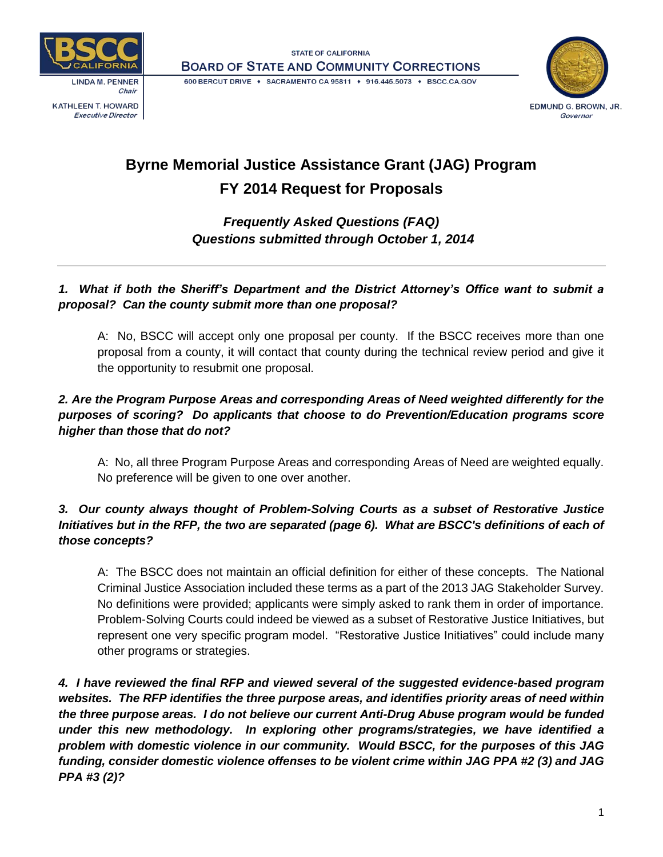

**Executive Director** 





# **Byrne Memorial Justice Assistance Grant (JAG) Program FY 2014 Request for Proposals**

## *Frequently Asked Questions (FAQ) Questions submitted through October 1, 2014*

## *1. What if both the Sheriff's Department and the District Attorney's Office want to submit a proposal? Can the county submit more than one proposal?*

A: No, BSCC will accept only one proposal per county. If the BSCC receives more than one proposal from a county, it will contact that county during the technical review period and give it the opportunity to resubmit one proposal.

## *2. Are the Program Purpose Areas and corresponding Areas of Need weighted differently for the purposes of scoring? Do applicants that choose to do Prevention/Education programs score higher than those that do not?*

A: No, all three Program Purpose Areas and corresponding Areas of Need are weighted equally. No preference will be given to one over another.

## *3. Our county always thought of Problem-Solving Courts as a subset of Restorative Justice Initiatives but in the RFP, the two are separated (page 6). What are BSCC's definitions of each of those concepts?*

A: The BSCC does not maintain an official definition for either of these concepts. The National Criminal Justice Association included these terms as a part of the 2013 JAG Stakeholder Survey. No definitions were provided; applicants were simply asked to rank them in order of importance. Problem-Solving Courts could indeed be viewed as a subset of Restorative Justice Initiatives, but represent one very specific program model. "Restorative Justice Initiatives" could include many other programs or strategies.

*4. I have reviewed the final RFP and viewed several of the suggested evidence-based program websites. The RFP identifies the three purpose areas, and identifies priority areas of need within the three purpose areas. I do not believe our current Anti-Drug Abuse program would be funded under this new methodology. In exploring other programs/strategies, we have identified a problem with domestic violence in our community. Would BSCC, for the purposes of this JAG funding, consider domestic violence offenses to be violent crime within JAG PPA #2 (3) and JAG PPA #3 (2)?*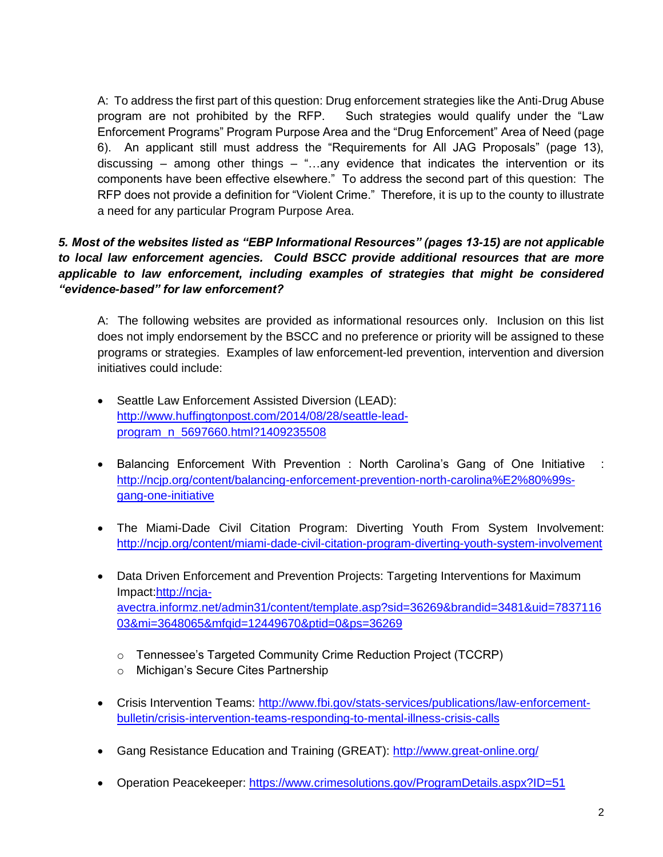A: To address the first part of this question: Drug enforcement strategies like the Anti-Drug Abuse program are not prohibited by the RFP. Such strategies would qualify under the "Law Enforcement Programs" Program Purpose Area and the "Drug Enforcement" Area of Need (page 6). An applicant still must address the "Requirements for All JAG Proposals" (page 13), discussing – among other things – "...any evidence that indicates the intervention or its components have been effective elsewhere." To address the second part of this question: The RFP does not provide a definition for "Violent Crime." Therefore, it is up to the county to illustrate a need for any particular Program Purpose Area.

## *5. Most of the websites listed as "EBP Informational Resources" (pages 13-15) are not applicable to local law enforcement agencies. Could BSCC provide additional resources that are more applicable to law enforcement, including examples of strategies that might be considered "evidence-based" for law enforcement?*

A: The following websites are provided as informational resources only. Inclusion on this list does not imply endorsement by the BSCC and no preference or priority will be assigned to these programs or strategies. Examples of law enforcement-led prevention, intervention and diversion initiatives could include:

- Seattle Law Enforcement Assisted Diversion (LEAD): [http://www.huffingtonpost.com/2014/08/28/seattle-lead](http://www.huffingtonpost.com/2014/08/28/seattle-lead-program_n_5697660.html?1409235508)[program\\_n\\_5697660.html?1409235508](http://www.huffingtonpost.com/2014/08/28/seattle-lead-program_n_5697660.html?1409235508)
- Balancing Enforcement With Prevention : North Carolina's Gang of One Initiative : [http://ncjp.org/content/balancing-enforcement-prevention-north-carolina%E2%80%99s](http://ncjp.org/content/balancing-enforcement-prevention-north-carolina%E2%80%99s-gang-one-initiative)[gang-one-initiative](http://ncjp.org/content/balancing-enforcement-prevention-north-carolina%E2%80%99s-gang-one-initiative)
- The Miami-Dade Civil Citation Program: Diverting Youth From System Involvement: <http://ncjp.org/content/miami-dade-civil-citation-program-diverting-youth-system-involvement>
- Data Driven Enforcement and Prevention Projects: Targeting Interventions for Maximum Impact[:http://ncja](http://ncja-avectra.informz.net/admin31/content/template.asp?sid=36269&brandid=3481&uid=783711603&mi=3648065&mfqid=12449670&ptid=0&ps=36269)[avectra.informz.net/admin31/content/template.asp?sid=36269&brandid=3481&uid=7837116](http://ncja-avectra.informz.net/admin31/content/template.asp?sid=36269&brandid=3481&uid=783711603&mi=3648065&mfqid=12449670&ptid=0&ps=36269) [03&mi=3648065&mfqid=12449670&ptid=0&ps=36269](http://ncja-avectra.informz.net/admin31/content/template.asp?sid=36269&brandid=3481&uid=783711603&mi=3648065&mfqid=12449670&ptid=0&ps=36269)
	- o Tennessee's Targeted Community Crime Reduction Project (TCCRP)
	- o Michigan's Secure Cites Partnership
- Crisis Intervention Teams: [http://www.fbi.gov/stats-services/publications/law-enforcement](http://www.fbi.gov/stats-services/publications/law-enforcement-bulletin/crisis-intervention-teams-responding-to-mental-illness-crisis-calls)[bulletin/crisis-intervention-teams-responding-to-mental-illness-crisis-calls](http://www.fbi.gov/stats-services/publications/law-enforcement-bulletin/crisis-intervention-teams-responding-to-mental-illness-crisis-calls)
- Gang Resistance Education and Training (GREAT):<http://www.great-online.org/>
- Operation Peacekeeper:<https://www.crimesolutions.gov/ProgramDetails.aspx?ID=51>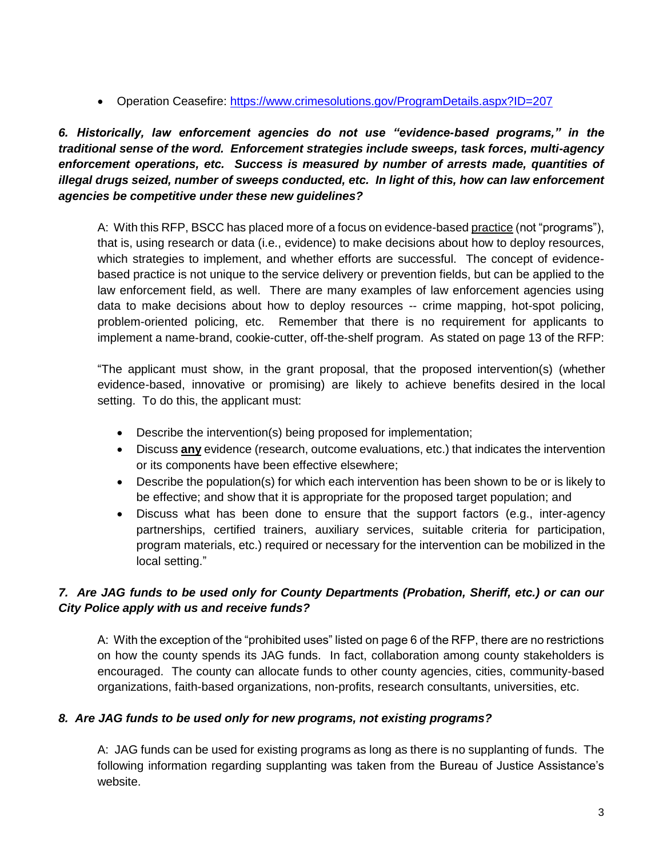Operation Ceasefire:<https://www.crimesolutions.gov/ProgramDetails.aspx?ID=207>

*6. Historically, law enforcement agencies do not use "evidence-based programs," in the traditional sense of the word. Enforcement strategies include sweeps, task forces, multi-agency enforcement operations, etc. Success is measured by number of arrests made, quantities of illegal drugs seized, number of sweeps conducted, etc. In light of this, how can law enforcement agencies be competitive under these new guidelines?*

A: With this RFP, BSCC has placed more of a focus on evidence-based practice (not "programs"), that is, using research or data (i.e., evidence) to make decisions about how to deploy resources, which strategies to implement, and whether efforts are successful. The concept of evidencebased practice is not unique to the service delivery or prevention fields, but can be applied to the law enforcement field, as well. There are many examples of law enforcement agencies using data to make decisions about how to deploy resources -- crime mapping, hot-spot policing, problem-oriented policing, etc. Remember that there is no requirement for applicants to implement a name-brand, cookie-cutter, off-the-shelf program. As stated on page 13 of the RFP:

"The applicant must show, in the grant proposal, that the proposed intervention(s) (whether evidence-based, innovative or promising) are likely to achieve benefits desired in the local setting. To do this, the applicant must:

- Describe the intervention(s) being proposed for implementation;
- Discuss **any** evidence (research, outcome evaluations, etc.) that indicates the intervention or its components have been effective elsewhere;
- Describe the population(s) for which each intervention has been shown to be or is likely to be effective; and show that it is appropriate for the proposed target population; and
- Discuss what has been done to ensure that the support factors (e.g., inter-agency partnerships, certified trainers, auxiliary services, suitable criteria for participation, program materials, etc.) required or necessary for the intervention can be mobilized in the local setting."

## *7. Are JAG funds to be used only for County Departments (Probation, Sheriff, etc.) or can our City Police apply with us and receive funds?*

A: With the exception of the "prohibited uses" listed on page 6 of the RFP, there are no restrictions on how the county spends its JAG funds. In fact, collaboration among county stakeholders is encouraged. The county can allocate funds to other county agencies, cities, community-based organizations, faith-based organizations, non-profits, research consultants, universities, etc.

#### *8. Are JAG funds to be used only for new programs, not existing programs?*

A: JAG funds can be used for existing programs as long as there is no supplanting of funds. The following information regarding supplanting was taken from the Bureau of Justice Assistance's website.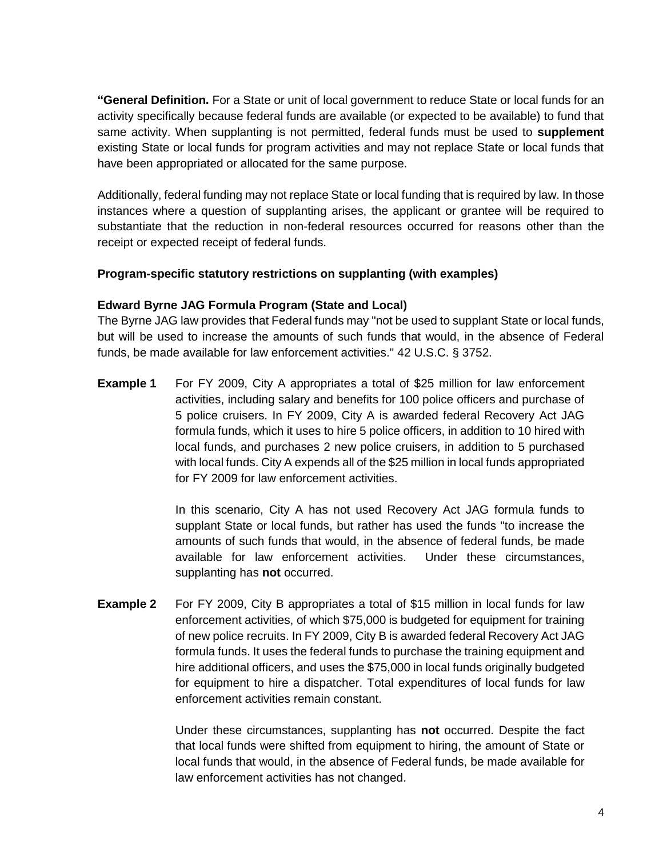**"General Definition.** For a State or unit of local government to reduce State or local funds for an activity specifically because federal funds are available (or expected to be available) to fund that same activity. When supplanting is not permitted, federal funds must be used to **supplement** existing State or local funds for program activities and may not replace State or local funds that have been appropriated or allocated for the same purpose.

Additionally, federal funding may not replace State or local funding that is required by law. In those instances where a question of supplanting arises, the applicant or grantee will be required to substantiate that the reduction in non-federal resources occurred for reasons other than the receipt or expected receipt of federal funds.

#### **Program-specific statutory restrictions on supplanting (with examples)**

#### **Edward Byrne JAG Formula Program (State and Local)**

The Byrne JAG law provides that Federal funds may "not be used to supplant State or local funds, but will be used to increase the amounts of such funds that would, in the absence of Federal funds, be made available for law enforcement activities." 42 U.S.C. § 3752.

**Example 1** For FY 2009, City A appropriates a total of \$25 million for law enforcement activities, including salary and benefits for 100 police officers and purchase of 5 police cruisers. In FY 2009, City A is awarded federal Recovery Act JAG formula funds, which it uses to hire 5 police officers, in addition to 10 hired with local funds, and purchases 2 new police cruisers, in addition to 5 purchased with local funds. City A expends all of the \$25 million in local funds appropriated for FY 2009 for law enforcement activities.

> In this scenario, City A has not used Recovery Act JAG formula funds to supplant State or local funds, but rather has used the funds "to increase the amounts of such funds that would, in the absence of federal funds, be made available for law enforcement activities. Under these circumstances, supplanting has **not** occurred.

**Example 2** For FY 2009, City B appropriates a total of \$15 million in local funds for law enforcement activities, of which \$75,000 is budgeted for equipment for training of new police recruits. In FY 2009, City B is awarded federal Recovery Act JAG formula funds. It uses the federal funds to purchase the training equipment and hire additional officers, and uses the \$75,000 in local funds originally budgeted for equipment to hire a dispatcher. Total expenditures of local funds for law enforcement activities remain constant.

> Under these circumstances, supplanting has **not** occurred. Despite the fact that local funds were shifted from equipment to hiring, the amount of State or local funds that would, in the absence of Federal funds, be made available for law enforcement activities has not changed.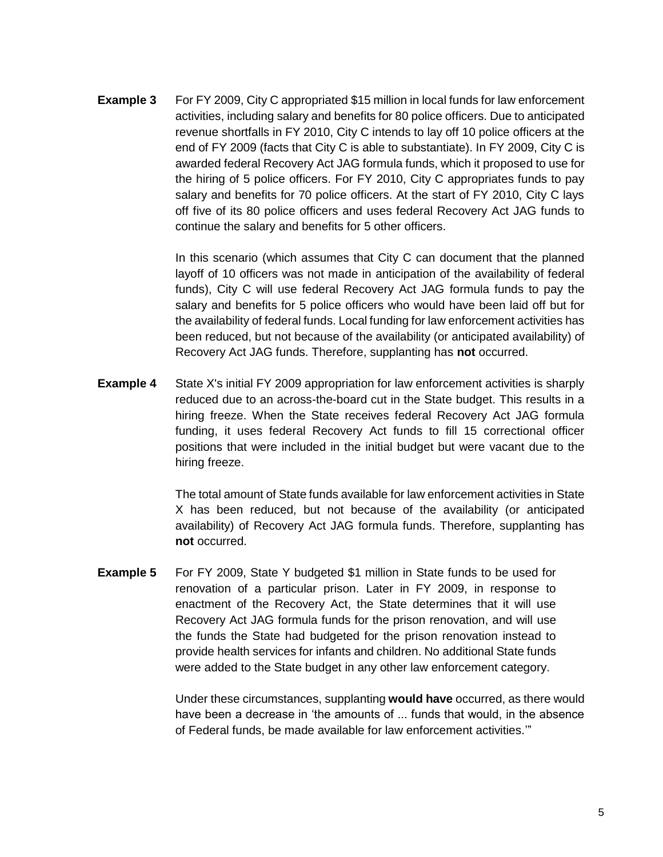**Example 3** For FY 2009, City C appropriated \$15 million in local funds for law enforcement activities, including salary and benefits for 80 police officers. Due to anticipated revenue shortfalls in FY 2010, City C intends to lay off 10 police officers at the end of FY 2009 (facts that City C is able to substantiate). In FY 2009, City C is awarded federal Recovery Act JAG formula funds, which it proposed to use for the hiring of 5 police officers. For FY 2010, City C appropriates funds to pay salary and benefits for 70 police officers. At the start of FY 2010, City C lays off five of its 80 police officers and uses federal Recovery Act JAG funds to continue the salary and benefits for 5 other officers.

> In this scenario (which assumes that City C can document that the planned layoff of 10 officers was not made in anticipation of the availability of federal funds), City C will use federal Recovery Act JAG formula funds to pay the salary and benefits for 5 police officers who would have been laid off but for the availability of federal funds. Local funding for law enforcement activities has been reduced, but not because of the availability (or anticipated availability) of Recovery Act JAG funds. Therefore, supplanting has **not** occurred.

**Example 4** State X's initial FY 2009 appropriation for law enforcement activities is sharply reduced due to an across-the-board cut in the State budget. This results in a hiring freeze. When the State receives federal Recovery Act JAG formula funding, it uses federal Recovery Act funds to fill 15 correctional officer positions that were included in the initial budget but were vacant due to the hiring freeze.

> The total amount of State funds available for law enforcement activities in State X has been reduced, but not because of the availability (or anticipated availability) of Recovery Act JAG formula funds. Therefore, supplanting has **not** occurred.

**Example 5** For FY 2009, State Y budgeted \$1 million in State funds to be used for renovation of a particular prison. Later in FY 2009, in response to enactment of the Recovery Act, the State determines that it will use Recovery Act JAG formula funds for the prison renovation, and will use the funds the State had budgeted for the prison renovation instead to provide health services for infants and children. No additional State funds were added to the State budget in any other law enforcement category.

> Under these circumstances, supplanting **would have** occurred, as there would have been a decrease in 'the amounts of ... funds that would, in the absence of Federal funds, be made available for law enforcement activities.'"